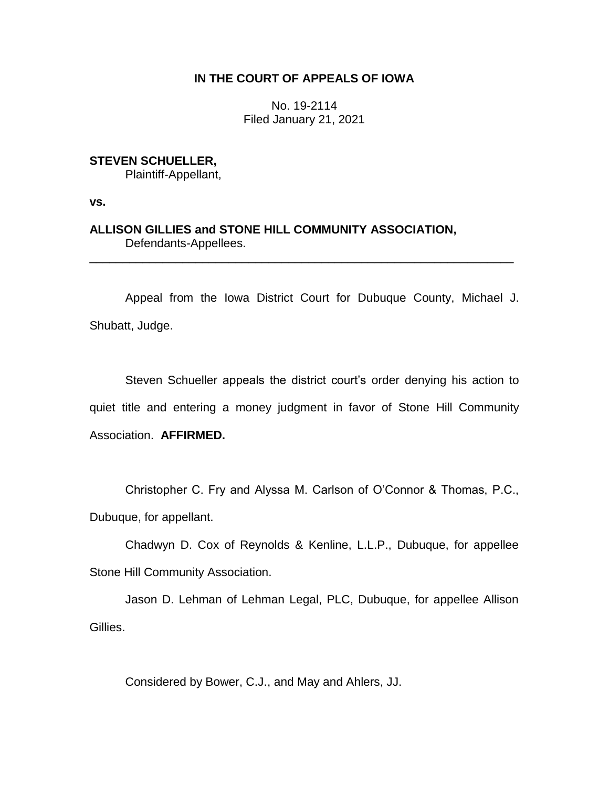# **IN THE COURT OF APPEALS OF IOWA**

No. 19-2114 Filed January 21, 2021

**STEVEN SCHUELLER,**

Plaintiff-Appellant,

**vs.**

**ALLISON GILLIES and STONE HILL COMMUNITY ASSOCIATION,** Defendants-Appellees.

Appeal from the Iowa District Court for Dubuque County, Michael J. Shubatt, Judge.

\_\_\_\_\_\_\_\_\_\_\_\_\_\_\_\_\_\_\_\_\_\_\_\_\_\_\_\_\_\_\_\_\_\_\_\_\_\_\_\_\_\_\_\_\_\_\_\_\_\_\_\_\_\_\_\_\_\_\_\_\_\_\_\_

Steven Schueller appeals the district court's order denying his action to quiet title and entering a money judgment in favor of Stone Hill Community Association. **AFFIRMED.**

Christopher C. Fry and Alyssa M. Carlson of O'Connor & Thomas, P.C., Dubuque, for appellant.

Chadwyn D. Cox of Reynolds & Kenline, L.L.P., Dubuque, for appellee Stone Hill Community Association.

Jason D. Lehman of Lehman Legal, PLC, Dubuque, for appellee Allison Gillies.

Considered by Bower, C.J., and May and Ahlers, JJ.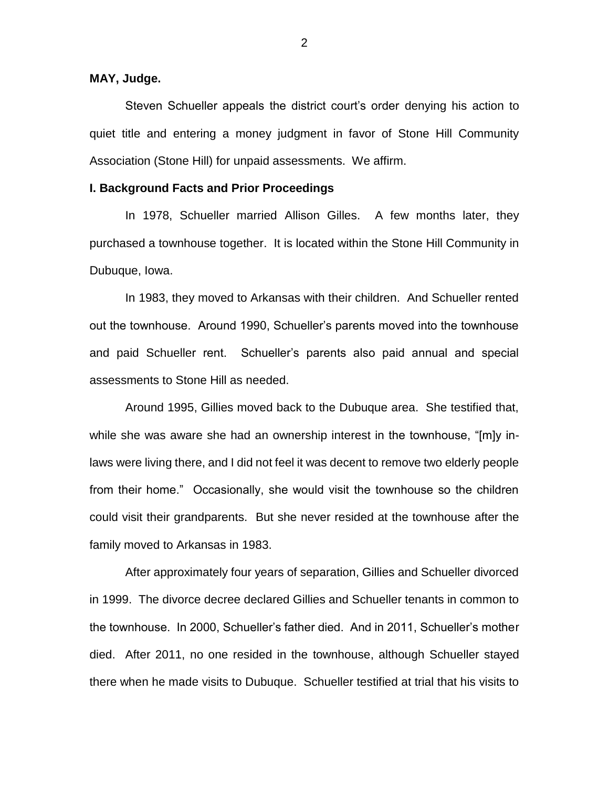### **MAY, Judge.**

Steven Schueller appeals the district court's order denying his action to quiet title and entering a money judgment in favor of Stone Hill Community Association (Stone Hill) for unpaid assessments. We affirm.

### **I. Background Facts and Prior Proceedings**

In 1978, Schueller married Allison Gilles. A few months later, they purchased a townhouse together. It is located within the Stone Hill Community in Dubuque, Iowa.

In 1983, they moved to Arkansas with their children. And Schueller rented out the townhouse. Around 1990, Schueller's parents moved into the townhouse and paid Schueller rent. Schueller's parents also paid annual and special assessments to Stone Hill as needed.

Around 1995, Gillies moved back to the Dubuque area. She testified that, while she was aware she had an ownership interest in the townhouse, "[m]y inlaws were living there, and I did not feel it was decent to remove two elderly people from their home." Occasionally, she would visit the townhouse so the children could visit their grandparents. But she never resided at the townhouse after the family moved to Arkansas in 1983.

After approximately four years of separation, Gillies and Schueller divorced in 1999. The divorce decree declared Gillies and Schueller tenants in common to the townhouse. In 2000, Schueller's father died. And in 2011, Schueller's mother died. After 2011, no one resided in the townhouse, although Schueller stayed there when he made visits to Dubuque. Schueller testified at trial that his visits to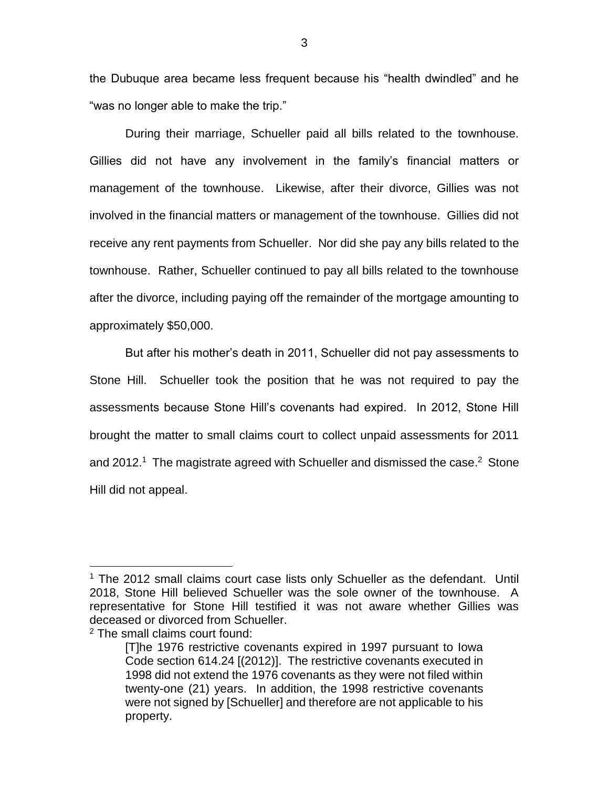the Dubuque area became less frequent because his "health dwindled" and he "was no longer able to make the trip."

During their marriage, Schueller paid all bills related to the townhouse. Gillies did not have any involvement in the family's financial matters or management of the townhouse. Likewise, after their divorce, Gillies was not involved in the financial matters or management of the townhouse. Gillies did not receive any rent payments from Schueller. Nor did she pay any bills related to the townhouse. Rather, Schueller continued to pay all bills related to the townhouse after the divorce, including paying off the remainder of the mortgage amounting to approximately \$50,000.

But after his mother's death in 2011, Schueller did not pay assessments to Stone Hill. Schueller took the position that he was not required to pay the assessments because Stone Hill's covenants had expired. In 2012, Stone Hill brought the matter to small claims court to collect unpaid assessments for 2011 and 2012.<sup>1</sup> The magistrate agreed with Schueller and dismissed the case.<sup>2</sup> Stone Hill did not appeal.

 $\overline{a}$ 

<sup>1</sup> The 2012 small claims court case lists only Schueller as the defendant. Until 2018, Stone Hill believed Schueller was the sole owner of the townhouse. A representative for Stone Hill testified it was not aware whether Gillies was deceased or divorced from Schueller.

<sup>2</sup> The small claims court found:

<sup>[</sup>T]he 1976 restrictive covenants expired in 1997 pursuant to Iowa Code section 614.24 [(2012)]. The restrictive covenants executed in 1998 did not extend the 1976 covenants as they were not filed within twenty-one (21) years. In addition, the 1998 restrictive covenants were not signed by [Schueller] and therefore are not applicable to his property.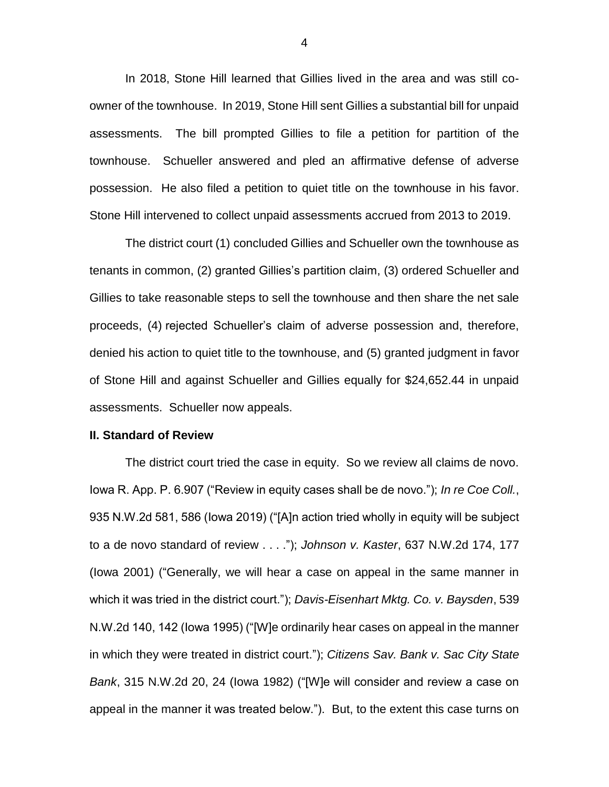In 2018, Stone Hill learned that Gillies lived in the area and was still coowner of the townhouse. In 2019, Stone Hill sent Gillies a substantial bill for unpaid assessments. The bill prompted Gillies to file a petition for partition of the townhouse. Schueller answered and pled an affirmative defense of adverse possession. He also filed a petition to quiet title on the townhouse in his favor. Stone Hill intervened to collect unpaid assessments accrued from 2013 to 2019.

The district court (1) concluded Gillies and Schueller own the townhouse as tenants in common, (2) granted Gillies's partition claim, (3) ordered Schueller and Gillies to take reasonable steps to sell the townhouse and then share the net sale proceeds, (4) rejected Schueller's claim of adverse possession and, therefore, denied his action to quiet title to the townhouse, and (5) granted judgment in favor of Stone Hill and against Schueller and Gillies equally for \$24,652.44 in unpaid assessments. Schueller now appeals.

#### **II. Standard of Review**

The district court tried the case in equity. So we review all claims de novo. Iowa R. App. P. 6.907 ("Review in equity cases shall be de novo."); *In re Coe Coll.*, 935 N.W.2d 581, 586 (Iowa 2019) ("[A]n action tried wholly in equity will be subject to a de novo standard of review . . . ."); *Johnson v. Kaster*, 637 N.W.2d 174, 177 (Iowa 2001) ("Generally, we will hear a case on appeal in the same manner in which it was tried in the district court."); *Davis-Eisenhart Mktg. Co. v. Baysden*, 539 N.W.2d 140, 142 (Iowa 1995) ("[W]e ordinarily hear cases on appeal in the manner in which they were treated in district court."); *Citizens Sav. Bank v. Sac City State Bank*, 315 N.W.2d 20, 24 (Iowa 1982) ("[W]e will consider and review a case on appeal in the manner it was treated below."). But, to the extent this case turns on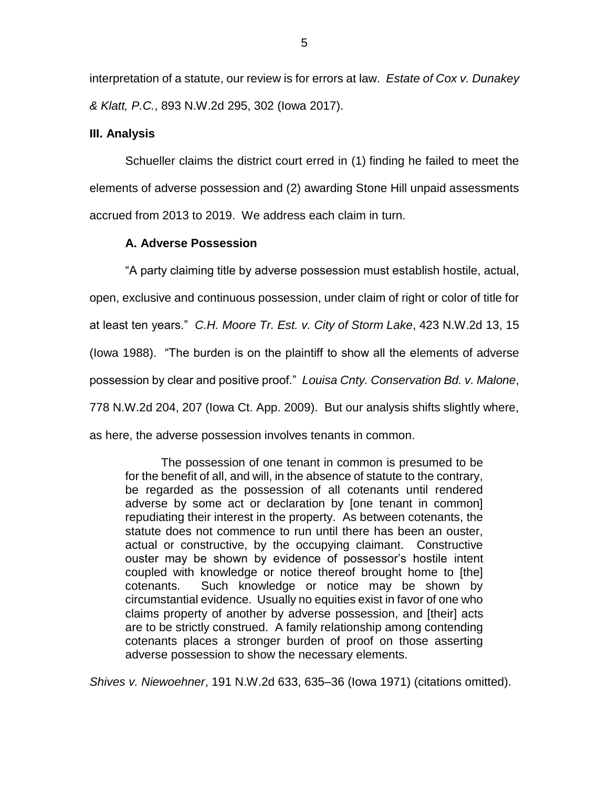interpretation of a statute, our review is for errors at law. *Estate of Cox v. Dunakey & Klatt, P.C.*, 893 N.W.2d 295, 302 (Iowa 2017).

### **III. Analysis**

Schueller claims the district court erred in (1) finding he failed to meet the elements of adverse possession and (2) awarding Stone Hill unpaid assessments accrued from 2013 to 2019. We address each claim in turn.

## **A. Adverse Possession**

"A party claiming title by adverse possession must establish hostile, actual, open, exclusive and continuous possession, under claim of right or color of title for at least ten years." *C.H. Moore Tr. Est. v. City of Storm Lake*, 423 N.W.2d 13, 15 (Iowa 1988). "The burden is on the plaintiff to show all the elements of adverse possession by clear and positive proof." *Louisa Cnty. Conservation Bd. v. Malone*, 778 N.W.2d 204, 207 (Iowa Ct. App. 2009). But our analysis shifts slightly where, as here, the adverse possession involves tenants in common.

The possession of one tenant in common is presumed to be for the benefit of all, and will, in the absence of statute to the contrary, be regarded as the possession of all cotenants until rendered adverse by some act or declaration by [one tenant in common] repudiating their interest in the property. As between cotenants, the statute does not commence to run until there has been an ouster, actual or constructive, by the occupying claimant. Constructive ouster may be shown by evidence of possessor's hostile intent coupled with knowledge or notice thereof brought home to [the] cotenants. Such knowledge or notice may be shown by circumstantial evidence. Usually no equities exist in favor of one who claims property of another by adverse possession, and [their] acts are to be strictly construed. A family relationship among contending cotenants places a stronger burden of proof on those asserting adverse possession to show the necessary elements.

*Shives v. Niewoehner*, 191 N.W.2d 633, 635–36 (Iowa 1971) (citations omitted).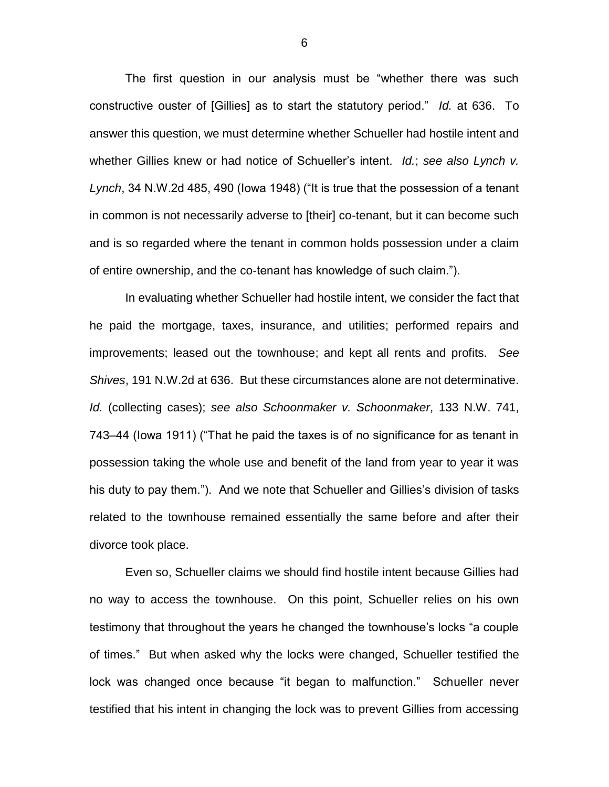The first question in our analysis must be "whether there was such constructive ouster of [Gillies] as to start the statutory period." *Id.* at 636. To answer this question, we must determine whether Schueller had hostile intent and whether Gillies knew or had notice of Schueller's intent. *Id.*; *see also Lynch v. Lynch*, 34 N.W.2d 485, 490 (Iowa 1948) ("It is true that the possession of a tenant in common is not necessarily adverse to [their] co-tenant, but it can become such and is so regarded where the tenant in common holds possession under a claim of entire ownership, and the co-tenant has knowledge of such claim.").

In evaluating whether Schueller had hostile intent, we consider the fact that he paid the mortgage, taxes, insurance, and utilities; performed repairs and improvements; leased out the townhouse; and kept all rents and profits. *See Shives*, 191 N.W.2d at 636. But these circumstances alone are not determinative. *Id.* (collecting cases); *see also Schoonmaker v. Schoonmaker*, 133 N.W. 741, 743–44 (Iowa 1911) ("That he paid the taxes is of no significance for as tenant in possession taking the whole use and benefit of the land from year to year it was his duty to pay them."). And we note that Schueller and Gillies's division of tasks related to the townhouse remained essentially the same before and after their divorce took place.

Even so, Schueller claims we should find hostile intent because Gillies had no way to access the townhouse. On this point, Schueller relies on his own testimony that throughout the years he changed the townhouse's locks "a couple of times." But when asked why the locks were changed, Schueller testified the lock was changed once because "it began to malfunction." Schueller never testified that his intent in changing the lock was to prevent Gillies from accessing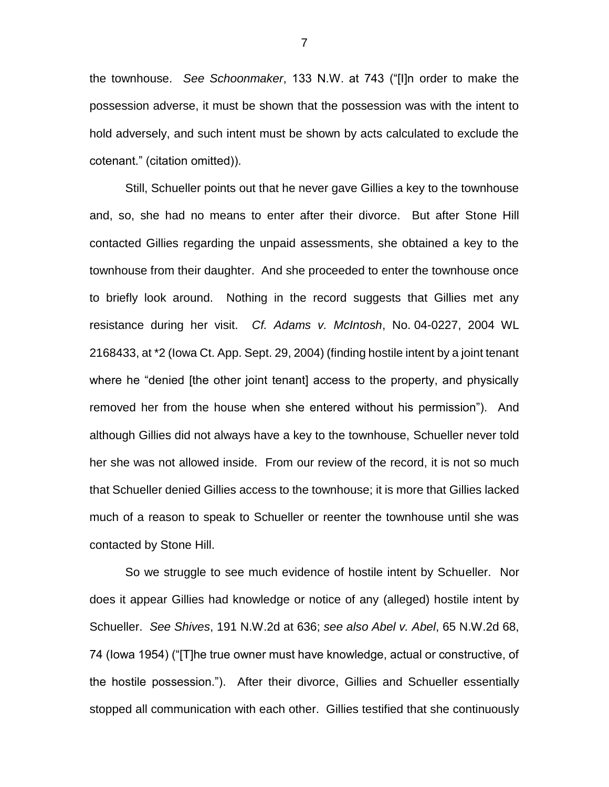the townhouse. *See Schoonmaker*, 133 N.W. at 743 ("[I]n order to make the possession adverse, it must be shown that the possession was with the intent to hold adversely, and such intent must be shown by acts calculated to exclude the cotenant." (citation omitted)).

Still, Schueller points out that he never gave Gillies a key to the townhouse and, so, she had no means to enter after their divorce. But after Stone Hill contacted Gillies regarding the unpaid assessments, she obtained a key to the townhouse from their daughter. And she proceeded to enter the townhouse once to briefly look around. Nothing in the record suggests that Gillies met any resistance during her visit. *Cf. Adams v. McIntosh*, No. 04-0227, 2004 WL 2168433, at \*2 (Iowa Ct. App. Sept. 29, 2004) (finding hostile intent by a joint tenant where he "denied [the other joint tenant] access to the property, and physically removed her from the house when she entered without his permission"). And although Gillies did not always have a key to the townhouse, Schueller never told her she was not allowed inside. From our review of the record, it is not so much that Schueller denied Gillies access to the townhouse; it is more that Gillies lacked much of a reason to speak to Schueller or reenter the townhouse until she was contacted by Stone Hill.

So we struggle to see much evidence of hostile intent by Schueller. Nor does it appear Gillies had knowledge or notice of any (alleged) hostile intent by Schueller. *See Shives*, 191 N.W.2d at 636; *see also Abel v. Abel*, 65 N.W.2d 68, 74 (Iowa 1954) ("[T]he true owner must have knowledge, actual or constructive, of the hostile possession."). After their divorce, Gillies and Schueller essentially stopped all communication with each other. Gillies testified that she continuously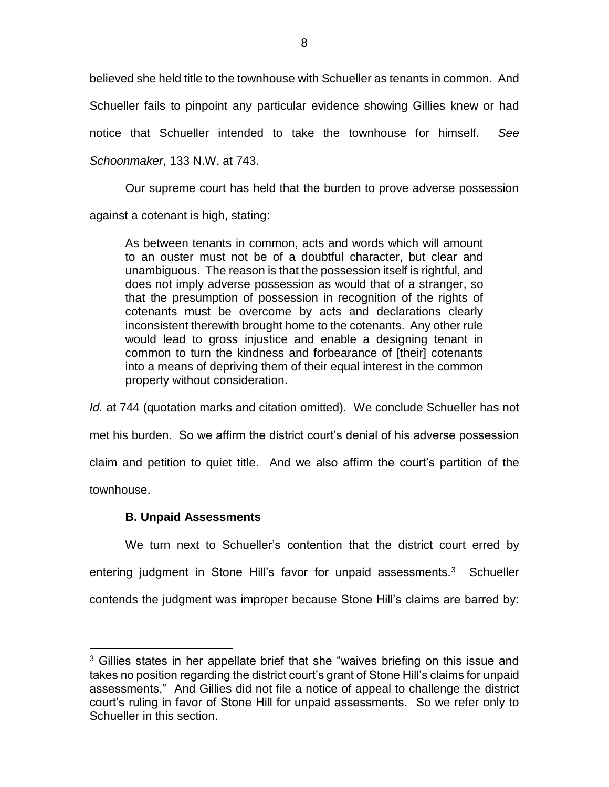believed she held title to the townhouse with Schueller as tenants in common. And Schueller fails to pinpoint any particular evidence showing Gillies knew or had notice that Schueller intended to take the townhouse for himself. *See Schoonmaker*, 133 N.W. at 743.

Our supreme court has held that the burden to prove adverse possession against a cotenant is high, stating:

As between tenants in common, acts and words which will amount to an ouster must not be of a doubtful character, but clear and unambiguous. The reason is that the possession itself is rightful, and does not imply adverse possession as would that of a stranger, so that the presumption of possession in recognition of the rights of cotenants must be overcome by acts and declarations clearly inconsistent therewith brought home to the cotenants. Any other rule would lead to gross injustice and enable a designing tenant in common to turn the kindness and forbearance of [their] cotenants into a means of depriving them of their equal interest in the common property without consideration.

*Id.* at 744 (quotation marks and citation omitted). We conclude Schueller has not met his burden. So we affirm the district court's denial of his adverse possession claim and petition to quiet title. And we also affirm the court's partition of the townhouse.

# **B. Unpaid Assessments**

 $\overline{a}$ 

We turn next to Schueller's contention that the district court erred by entering judgment in Stone Hill's favor for unpaid assessments.<sup>3</sup> Schueller contends the judgment was improper because Stone Hill's claims are barred by:

<sup>&</sup>lt;sup>3</sup> Gillies states in her appellate brief that she "waives briefing on this issue and takes no position regarding the district court's grant of Stone Hill's claims for unpaid assessments." And Gillies did not file a notice of appeal to challenge the district court's ruling in favor of Stone Hill for unpaid assessments. So we refer only to Schueller in this section.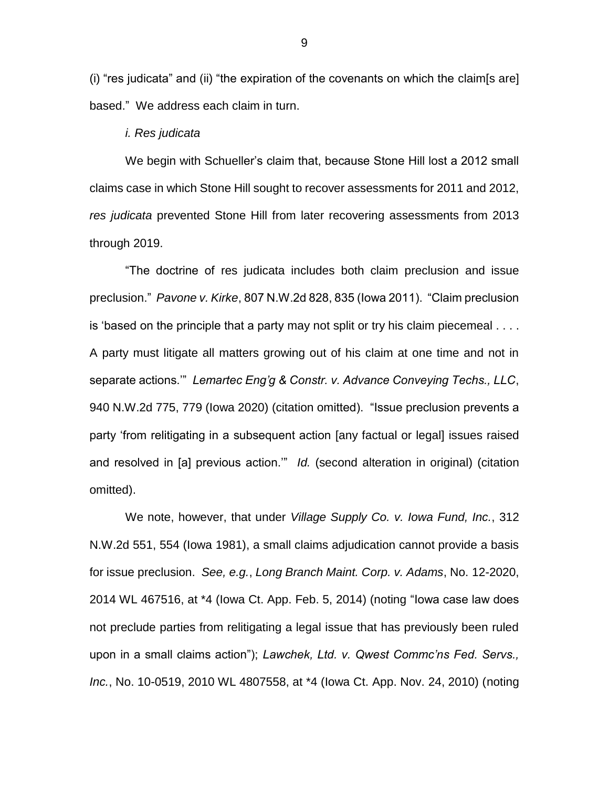(i) "res judicata" and (ii) "the expiration of the covenants on which the claim[s are] based." We address each claim in turn.

#### *i. Res judicata*

We begin with Schueller's claim that, because Stone Hill lost a 2012 small claims case in which Stone Hill sought to recover assessments for 2011 and 2012, *res judicata* prevented Stone Hill from later recovering assessments from 2013 through 2019.

"The doctrine of res judicata includes both claim preclusion and issue preclusion." *Pavone v. Kirke*, 807 N.W.2d 828, 835 (Iowa 2011). "Claim preclusion is 'based on the principle that a party may not split or try his claim piecemeal . . . . A party must litigate all matters growing out of his claim at one time and not in separate actions.'" *Lemartec Eng'g & Constr. v. Advance Conveying Techs., LLC*, 940 N.W.2d 775, 779 (Iowa 2020) (citation omitted). "Issue preclusion prevents a party 'from relitigating in a subsequent action [any factual or legal] issues raised and resolved in [a] previous action.'" *Id.* (second alteration in original) (citation omitted).

We note, however, that under *Village Supply Co. v. Iowa Fund, Inc.*, 312 N.W.2d 551, 554 (Iowa 1981), a small claims adjudication cannot provide a basis for issue preclusion. *See, e.g.*, *Long Branch Maint. Corp. v. Adams*, No. 12-2020, 2014 WL 467516, at \*4 (Iowa Ct. App. Feb. 5, 2014) (noting "Iowa case law does not preclude parties from relitigating a legal issue that has previously been ruled upon in a small claims action"); *Lawchek, Ltd. v. Qwest Commc'ns Fed. Servs., Inc.*, No. 10-0519, 2010 WL 4807558, at \*4 (Iowa Ct. App. Nov. 24, 2010) (noting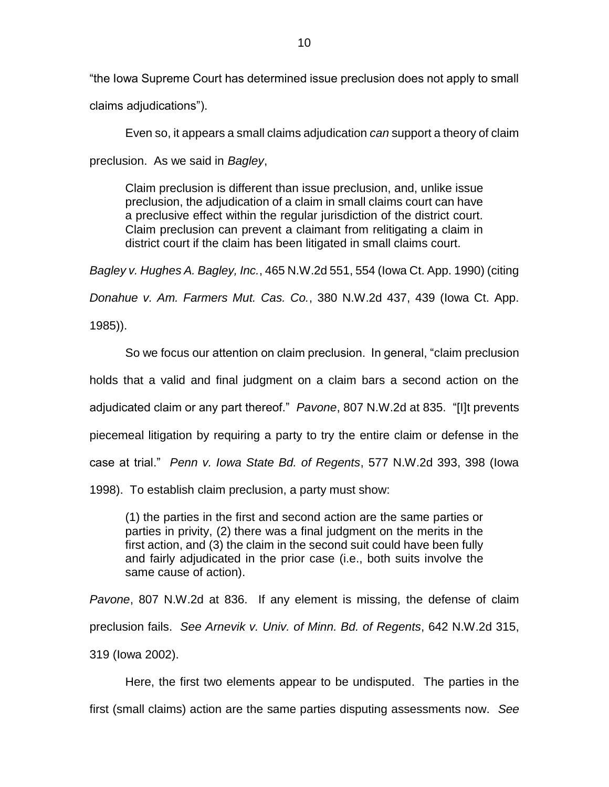"the Iowa Supreme Court has determined issue preclusion does not apply to small claims adjudications").

Even so, it appears a small claims adjudication *can* support a theory of claim preclusion. As we said in *Bagley*,

Claim preclusion is different than issue preclusion, and, unlike issue preclusion, the adjudication of a claim in small claims court can have a preclusive effect within the regular jurisdiction of the district court. Claim preclusion can prevent a claimant from relitigating a claim in district court if the claim has been litigated in small claims court.

*Bagley v. Hughes A. Bagley, Inc.*, 465 N.W.2d 551, 554 (Iowa Ct. App. 1990) (citing

*Donahue v. Am. Farmers Mut. Cas. Co.*, 380 N.W.2d 437, 439 (Iowa Ct. App.

1985)).

So we focus our attention on claim preclusion. In general, "claim preclusion holds that a valid and final judgment on a claim bars a second action on the adjudicated claim or any part thereof." *Pavone*, 807 N.W.2d at 835. "[I]t prevents piecemeal litigation by requiring a party to try the entire claim or defense in the case at trial." *Penn v. Iowa State Bd. of Regents*, 577 N.W.2d 393, 398 (Iowa 1998). To establish claim preclusion, a party must show:

(1) the parties in the first and second action are the same parties or parties in privity, (2) there was a final judgment on the merits in the first action, and (3) the claim in the second suit could have been fully and fairly adjudicated in the prior case (i.e., both suits involve the same cause of action).

*Pavone*, 807 N.W.2d at 836. If any element is missing, the defense of claim preclusion fails. *See Arnevik v. Univ. of Minn. Bd. of Regents*, 642 N.W.2d 315, 319 (Iowa 2002).

Here, the first two elements appear to be undisputed. The parties in the first (small claims) action are the same parties disputing assessments now. *See*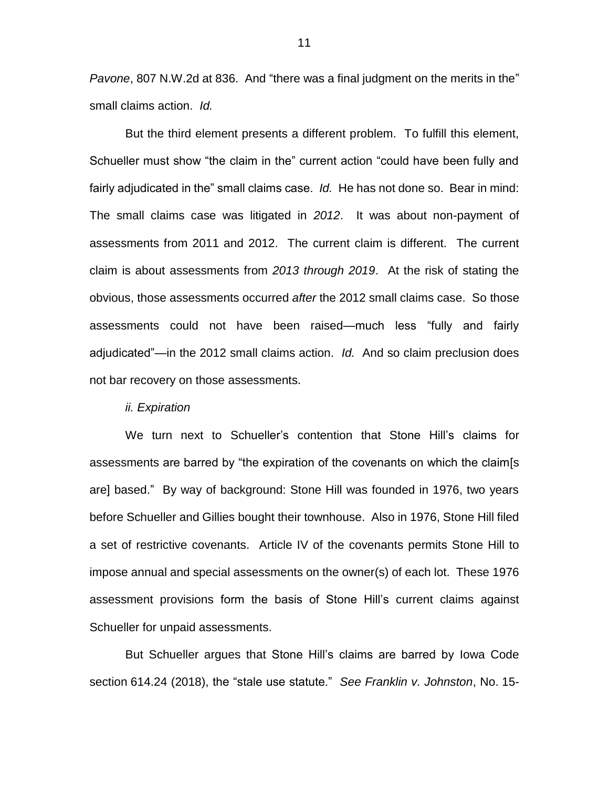*Pavone*, 807 N.W.2d at 836. And "there was a final judgment on the merits in the" small claims action. *Id.*

But the third element presents a different problem. To fulfill this element, Schueller must show "the claim in the" current action "could have been fully and fairly adjudicated in the" small claims case. *Id.* He has not done so. Bear in mind: The small claims case was litigated in *2012*. It was about non-payment of assessments from 2011 and 2012. The current claim is different. The current claim is about assessments from *2013 through 2019*. At the risk of stating the obvious, those assessments occurred *after* the 2012 small claims case. So those assessments could not have been raised—much less "fully and fairly adjudicated"—in the 2012 small claims action. *Id.* And so claim preclusion does not bar recovery on those assessments.

### *ii. Expiration*

We turn next to Schueller's contention that Stone Hill's claims for assessments are barred by "the expiration of the covenants on which the claim[s are] based." By way of background: Stone Hill was founded in 1976, two years before Schueller and Gillies bought their townhouse. Also in 1976, Stone Hill filed a set of restrictive covenants. Article IV of the covenants permits Stone Hill to impose annual and special assessments on the owner(s) of each lot. These 1976 assessment provisions form the basis of Stone Hill's current claims against Schueller for unpaid assessments.

But Schueller argues that Stone Hill's claims are barred by Iowa Code section 614.24 (2018), the "stale use statute." *See Franklin v. Johnston*, No. 15-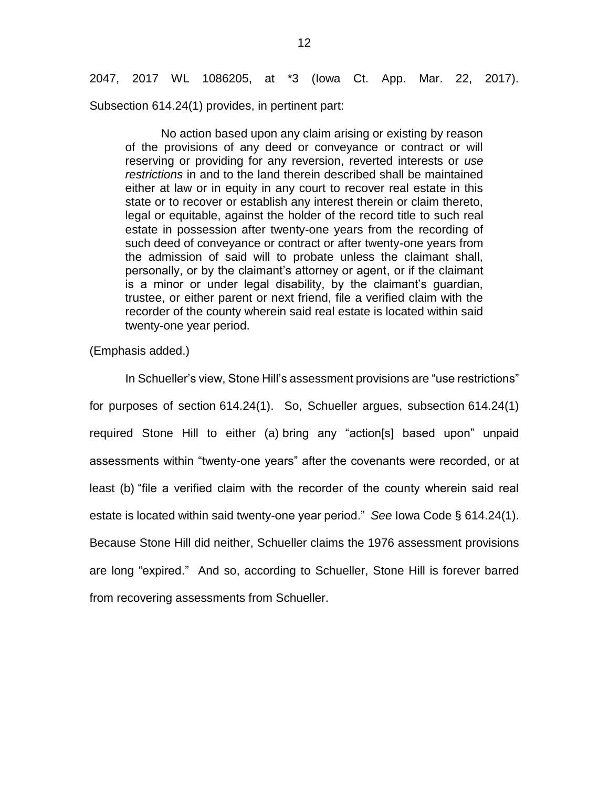2047, 2017 WL 1086205, at \*3 (Iowa Ct. App. Mar. 22, 2017). Subsection 614.24(1) provides, in pertinent part:

No action based upon any claim arising or existing by reason of the provisions of any deed or conveyance or contract or will reserving or providing for any reversion, reverted interests or *use restrictions* in and to the land therein described shall be maintained either at law or in equity in any court to recover real estate in this state or to recover or establish any interest therein or claim thereto, legal or equitable, against the holder of the record title to such real estate in possession after twenty-one years from the recording of such deed of conveyance or contract or after twenty-one years from the admission of said will to probate unless the claimant shall, personally, or by the claimant's attorney or agent, or if the claimant is a minor or under legal disability, by the claimant's guardian, trustee, or either parent or next friend, file a verified claim with the recorder of the county wherein said real estate is located within said twenty-one year period.

(Emphasis added.)

In Schueller's view, Stone Hill's assessment provisions are "use restrictions" for purposes of section 614.24(1). So, Schueller argues, subsection 614.24(1) required Stone Hill to either (a) bring any "action[s] based upon" unpaid assessments within "twenty-one years" after the covenants were recorded, or at least (b) "file a verified claim with the recorder of the county wherein said real estate is located within said twenty-one year period." *See* Iowa Code § 614.24(1). Because Stone Hill did neither, Schueller claims the 1976 assessment provisions are long "expired." And so, according to Schueller, Stone Hill is forever barred from recovering assessments from Schueller.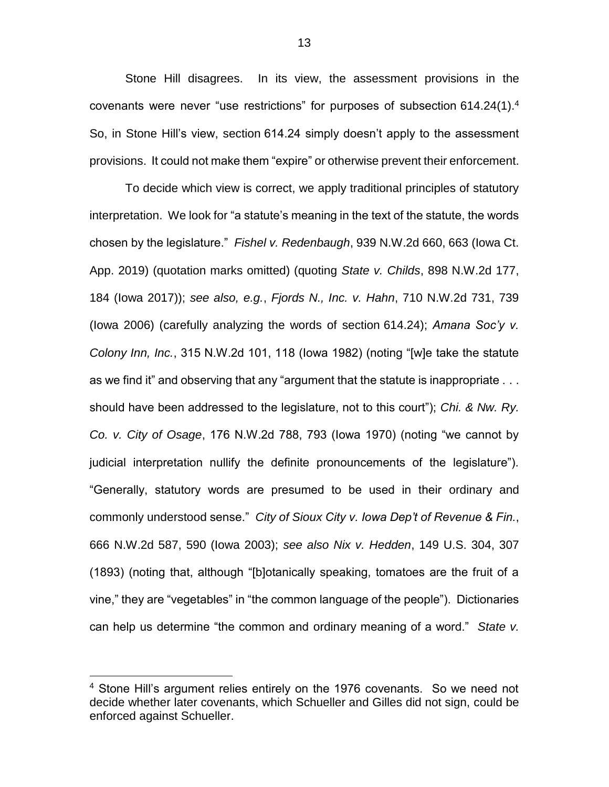Stone Hill disagrees. In its view, the assessment provisions in the covenants were never "use restrictions" for purposes of subsection 614.24(1).<sup>4</sup> So, in Stone Hill's view, section 614.24 simply doesn't apply to the assessment provisions. It could not make them "expire" or otherwise prevent their enforcement.

To decide which view is correct, we apply traditional principles of statutory interpretation. We look for "a statute's meaning in the text of the statute, the words chosen by the legislature." *Fishel v. Redenbaugh*, 939 N.W.2d 660, 663 (Iowa Ct. App. 2019) (quotation marks omitted) (quoting *State v. Childs*, 898 N.W.2d 177, 184 (Iowa 2017)); *see also, e.g.*, *Fjords N., Inc. v. Hahn*, 710 N.W.2d 731, 739 (Iowa 2006) (carefully analyzing the words of section 614.24); *Amana Soc'y v. Colony Inn, Inc.*, 315 N.W.2d 101, 118 (Iowa 1982) (noting "[w]e take the statute as we find it" and observing that any "argument that the statute is inappropriate . . . should have been addressed to the legislature, not to this court"); *Chi. & Nw. Ry. Co. v. City of Osage*, 176 N.W.2d 788, 793 (Iowa 1970) (noting "we cannot by judicial interpretation nullify the definite pronouncements of the legislature"). "Generally, statutory words are presumed to be used in their ordinary and commonly understood sense." *City of Sioux City v. Iowa Dep't of Revenue & Fin.*, 666 N.W.2d 587, 590 (Iowa 2003); *see also Nix v. Hedden*, 149 U.S. 304, 307 (1893) (noting that, although "[b]otanically speaking, tomatoes are the fruit of a vine," they are "vegetables" in "the common language of the people"). Dictionaries can help us determine "the common and ordinary meaning of a word." *State v.* 

 $\overline{a}$ 

<sup>&</sup>lt;sup>4</sup> Stone Hill's argument relies entirely on the 1976 covenants. So we need not decide whether later covenants, which Schueller and Gilles did not sign, could be enforced against Schueller.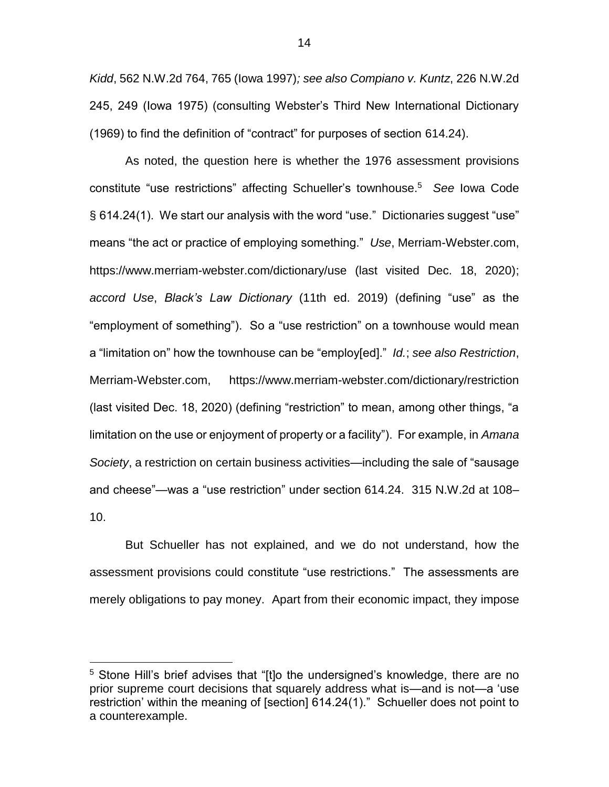*Kidd*, 562 N.W.2d 764, 765 (Iowa 1997)*; see also Compiano v. Kuntz*, 226 N.W.2d 245, 249 (Iowa 1975) (consulting Webster's Third New International Dictionary (1969) to find the definition of "contract" for purposes of section 614.24).

As noted, the question here is whether the 1976 assessment provisions constitute "use restrictions" affecting Schueller's townhouse. 5 *See* Iowa Code § 614.24(1). We start our analysis with the word "use." Dictionaries suggest "use" means "the act or practice of employing something." *Use*, Merriam-Webster.com, https://www.merriam-webster.com/dictionary/use (last visited Dec. 18, 2020); *accord Use*, *Black's Law Dictionary* (11th ed. 2019) (defining "use" as the "employment of something"). So a "use restriction" on a townhouse would mean a "limitation on" how the townhouse can be "employ[ed]." *Id.*; *see also Restriction*, Merriam-Webster.com, https://www.merriam-webster.com/dictionary/restriction (last visited Dec. 18, 2020) (defining "restriction" to mean, among other things, "a limitation on the use or enjoyment of property or a facility"). For example, in *Amana Society*, a restriction on certain business activities—including the sale of "sausage and cheese"—was a "use restriction" under section 614.24. 315 N.W.2d at 108– 10.

But Schueller has not explained, and we do not understand, how the assessment provisions could constitute "use restrictions." The assessments are merely obligations to pay money. Apart from their economic impact, they impose

 $\overline{a}$ 

<sup>&</sup>lt;sup>5</sup> Stone Hill's brief advises that "[t]o the undersigned's knowledge, there are no prior supreme court decisions that squarely address what is—and is not—a 'use restriction' within the meaning of [section] 614.24(1)." Schueller does not point to a counterexample.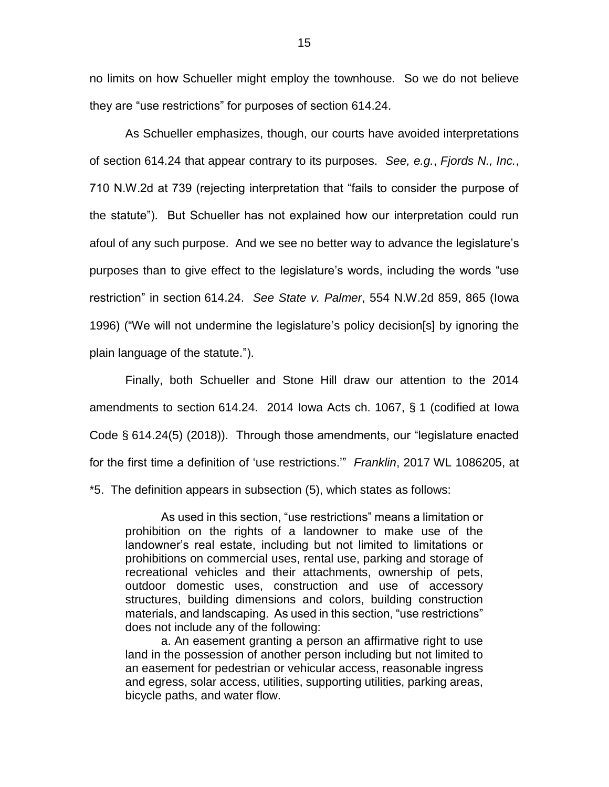no limits on how Schueller might employ the townhouse. So we do not believe they are "use restrictions" for purposes of section 614.24.

As Schueller emphasizes, though, our courts have avoided interpretations of section 614.24 that appear contrary to its purposes. *See, e.g.*, *Fjords N., Inc.*, 710 N.W.2d at 739 (rejecting interpretation that "fails to consider the purpose of the statute"). But Schueller has not explained how our interpretation could run afoul of any such purpose. And we see no better way to advance the legislature's purposes than to give effect to the legislature's words, including the words "use restriction" in section 614.24. *See State v. Palmer*, 554 N.W.2d 859, 865 (Iowa 1996) ("We will not undermine the legislature's policy decision[s] by ignoring the plain language of the statute.").

Finally, both Schueller and Stone Hill draw our attention to the 2014 amendments to section 614.24. 2014 Iowa Acts ch. 1067, § 1 (codified at Iowa Code § 614.24(5) (2018)). Through those amendments, our "legislature enacted for the first time a definition of 'use restrictions.'" *Franklin*, 2017 WL 1086205, at

\*5. The definition appears in subsection (5), which states as follows:

As used in this section, "use restrictions" means a limitation or prohibition on the rights of a landowner to make use of the landowner's real estate, including but not limited to limitations or prohibitions on commercial uses, rental use, parking and storage of recreational vehicles and their attachments, ownership of pets, outdoor domestic uses, construction and use of accessory structures, building dimensions and colors, building construction materials, and landscaping. As used in this section, "use restrictions" does not include any of the following:

a. An easement granting a person an affirmative right to use land in the possession of another person including but not limited to an easement for pedestrian or vehicular access, reasonable ingress and egress, solar access, utilities, supporting utilities, parking areas, bicycle paths, and water flow.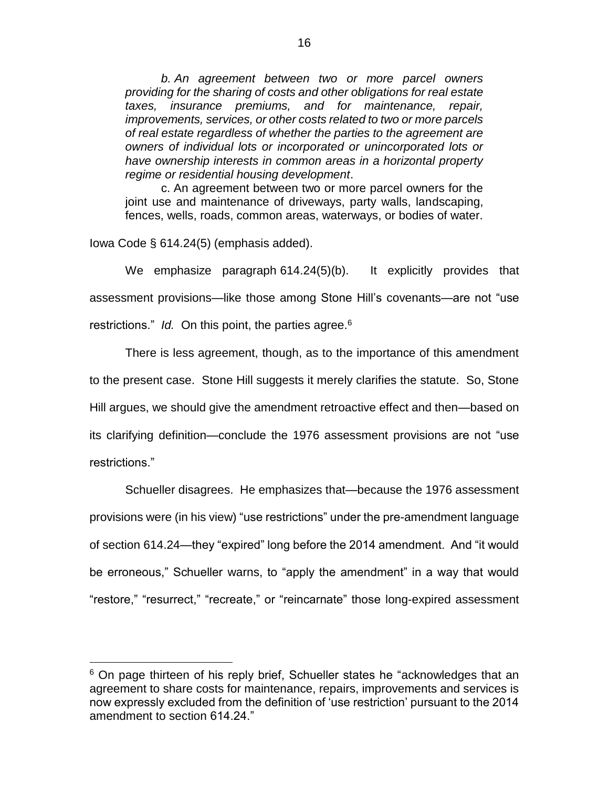*b. An agreement between two or more parcel owners providing for the sharing of costs and other obligations for real estate taxes, insurance premiums, and for maintenance, repair, improvements, services, or other costs related to two or more parcels of real estate regardless of whether the parties to the agreement are owners of individual lots or incorporated or unincorporated lots or have ownership interests in common areas in a horizontal property regime or residential housing development*.

c. An agreement between two or more parcel owners for the joint use and maintenance of driveways, party walls, landscaping, fences, wells, roads, common areas, waterways, or bodies of water.

Iowa Code § 614.24(5) (emphasis added).

 $\overline{a}$ 

We emphasize paragraph 614.24(5)(b). It explicitly provides that assessment provisions—like those among Stone Hill's covenants—are not "use restrictions." *Id.* On this point, the parties agree.<sup>6</sup>

There is less agreement, though, as to the importance of this amendment to the present case. Stone Hill suggests it merely clarifies the statute. So, Stone Hill argues, we should give the amendment retroactive effect and then—based on its clarifying definition—conclude the 1976 assessment provisions are not "use restrictions."

Schueller disagrees. He emphasizes that—because the 1976 assessment provisions were (in his view) "use restrictions" under the pre-amendment language of section 614.24—they "expired" long before the 2014 amendment. And "it would be erroneous," Schueller warns, to "apply the amendment" in a way that would "restore," "resurrect," "recreate," or "reincarnate" those long-expired assessment

<sup>&</sup>lt;sup>6</sup> On page thirteen of his reply brief, Schueller states he "acknowledges that an agreement to share costs for maintenance, repairs, improvements and services is now expressly excluded from the definition of 'use restriction' pursuant to the 2014 amendment to section 614.24."